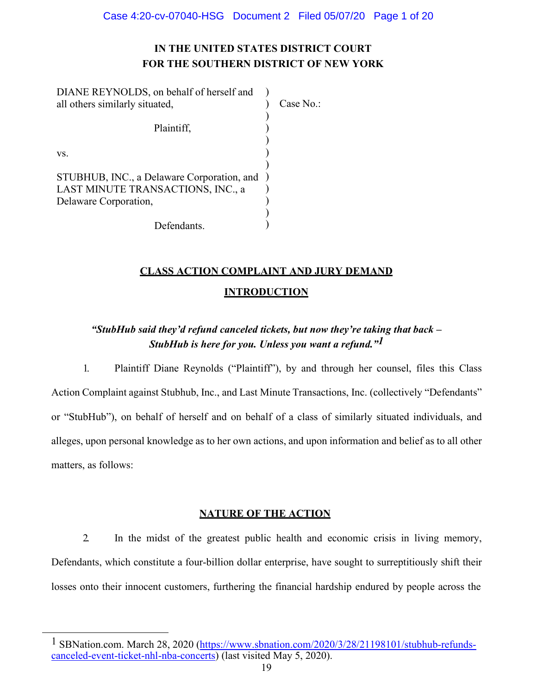# **IN THE UNITED STATES DISTRICT COURT FOR THE SOUTHERN DISTRICT OF NEW YORK**

| DIANE REYNOLDS, on behalf of herself and     |           |
|----------------------------------------------|-----------|
| all others similarly situated,               | Case No.: |
|                                              |           |
| Plaintiff,                                   |           |
|                                              |           |
| VS.                                          |           |
|                                              |           |
| STUBHUB, INC., a Delaware Corporation, and ) |           |
| LAST MINUTE TRANSACTIONS, INC., a            |           |
| Delaware Corporation,                        |           |
|                                              |           |
| Defendants.                                  |           |

# **CLASS ACTION COMPLAINT AND JURY DEMAND**

# **INTRODUCTION**

# *"StubHub said they'd refund canceled tickets, but now they're taking that back – StubHub is here for you. Unless you want a refund."[1](#page-0-0)*

1. Plaintiff Diane Reynolds ("Plaintiff"), by and through her counsel, files this Class Action Complaint against Stubhub, Inc., and Last Minute Transactions, Inc. (collectively "Defendants" or "StubHub"), on behalf of herself and on behalf of a class of similarly situated individuals, and alleges, upon personal knowledge as to her own actions, and upon information and belief as to all other matters, as follows:

## **NATURE OF THE ACTION**

2. In the midst of the greatest public health and economic crisis in living memory, Defendants, which constitute a four-billion dollar enterprise, have sought to surreptitiously shift their losses onto their innocent customers, furthering the financial hardship endured by people across the

<span id="page-0-0"></span><sup>&</sup>lt;sup>1</sup> SBNation.com. March 28, 2020 [\(https://www.sbnation.com/2020/3/28/21198101/stubhub-refunds](https://www.sbnation.com/2020/3/28/21198101/stubhub-refunds-canceled-event-ticket-nhl-nba-concerts)[canceled-event-ticket-nhl-nba-concerts\)](https://www.sbnation.com/2020/3/28/21198101/stubhub-refunds-canceled-event-ticket-nhl-nba-concerts) (last visited May 5, 2020).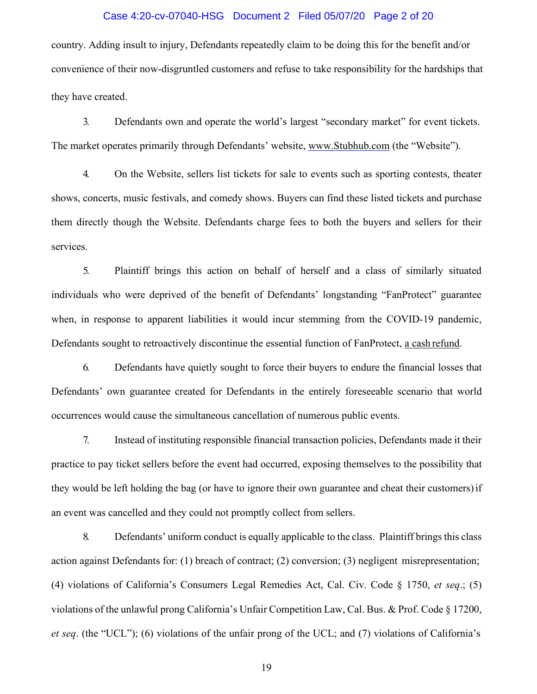#### Case 4:20-cv-07040-HSG Document 2 Filed 05/07/20 Page 2 of 20

country. Adding insult to injury, Defendants repeatedly claim to be doing this for the benefit and/or convenience of their now-disgruntled customers and refuse to take responsibility for the hardships that they have created.

3. Defendants own and operate the world's largest "secondary market" for event tickets. The market operates primarily through Defendants' website, [www.Stubhub.com](http://www.stubhub.com/) (the "Website").

4. On the Website, sellers list tickets for sale to events such as sporting contests, theater shows, concerts, music festivals, and comedy shows. Buyers can find these listed tickets and purchase them directly though the Website. Defendants charge fees to both the buyers and sellers for their services.

5. Plaintiff brings this action on behalf of herself and a class of similarly situated individuals who were deprived of the benefit of Defendants' longstanding "FanProtect" guarantee when, in response to apparent liabilities it would incur stemming from the COVID-19 pandemic, Defendants sought to retroactively discontinue the essential function of FanProtect, a cash refund.

6. Defendants have quietly sought to force their buyers to endure the financial losses that Defendants' own guarantee created for Defendants in the entirely foreseeable scenario that world occurrences would cause the simultaneous cancellation of numerous public events.

7. Instead of instituting responsible financial transaction policies, Defendants made it their practice to pay ticket sellers before the event had occurred, exposing themselves to the possibility that they would be left holding the bag (or have to ignore their own guarantee and cheat their customers)if an event was cancelled and they could not promptly collect from sellers.

8. Defendants' uniform conduct is equally applicable to the class. Plaintiff brings this class action against Defendants for: (1) breach of contract; (2) conversion; (3) negligent misrepresentation; (4) violations of California's Consumers Legal Remedies Act, Cal. Civ. Code § 1750, *et seq*.; (5) violations of the unlawful prong California's Unfair Competition Law, Cal. Bus. & Prof. Code § 17200, *et seq*. (the "UCL"); (6) violations of the unfair prong of the UCL; and (7) violations of California's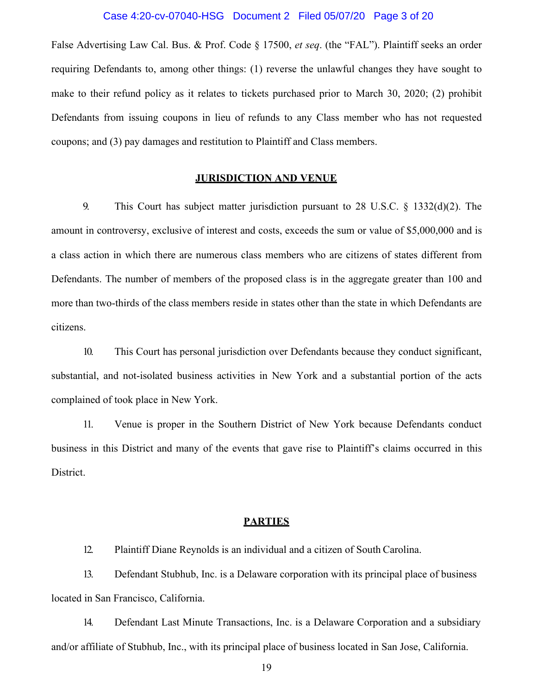#### Case 4:20-cv-07040-HSG Document 2 Filed 05/07/20 Page 3 of 20

False Advertising Law Cal. Bus. & Prof. Code § 17500, *et seq*. (the "FAL"). Plaintiff seeks an order requiring Defendants to, among other things: (1) reverse the unlawful changes they have sought to make to their refund policy as it relates to tickets purchased prior to March 30, 2020; (2) prohibit Defendants from issuing coupons in lieu of refunds to any Class member who has not requested coupons; and (3) pay damages and restitution to Plaintiff and Class members.

#### **JURISDICTION AND VENUE**

9. This Court has subject matter jurisdiction pursuant to 28 U.S.C. § 1332(d)(2). The amount in controversy, exclusive of interest and costs, exceeds the sum or value of \$5,000,000 and is a class action in which there are numerous class members who are citizens of states different from Defendants. The number of members of the proposed class is in the aggregate greater than 100 and more than two-thirds of the class members reside in states other than the state in which Defendants are citizens.

10. This Court has personal jurisdiction over Defendants because they conduct significant, substantial, and not-isolated business activities in New York and a substantial portion of the acts complained of took place in New York.

11. Venue is proper in the Southern District of New York because Defendants conduct business in this District and many of the events that gave rise to Plaintiff's claims occurred in this District.

#### **PARTIES**

12. Plaintiff Diane Reynolds is an individual and a citizen of South Carolina.

13. Defendant Stubhub, Inc. is a Delaware corporation with its principal place of business located in San Francisco, California.

14. Defendant Last Minute Transactions, Inc. is a Delaware Corporation and a subsidiary and/or affiliate of Stubhub, Inc., with its principal place of business located in San Jose, California.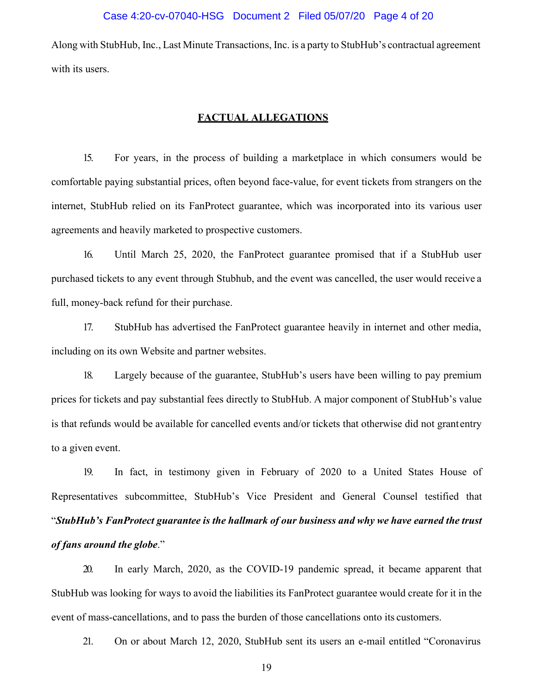Along with StubHub, Inc., Last Minute Transactions, Inc. is a party to StubHub's contractual agreement with its users.

### **FACTUAL ALLEGATIONS**

15. For years, in the process of building a marketplace in which consumers would be comfortable paying substantial prices, often beyond face-value, for event tickets from strangers on the internet, StubHub relied on its FanProtect guarantee, which was incorporated into its various user agreements and heavily marketed to prospective customers.

16. Until March 25, 2020, the FanProtect guarantee promised that if a StubHub user purchased tickets to any event through Stubhub, and the event was cancelled, the user would receive a full, money-back refund for their purchase.

17. StubHub has advertised the FanProtect guarantee heavily in internet and other media, including on its own Website and partner websites.

18. Largely because of the guarantee, StubHub's users have been willing to pay premium prices for tickets and pay substantial fees directly to StubHub. A major component of StubHub's value is that refunds would be available for cancelled events and/or tickets that otherwise did not grant entry to a given event.

19. In fact, in testimony given in February of 2020 to a United States House of Representatives subcommittee, StubHub's Vice President and General Counsel testified that "*StubHub's FanProtect guarantee is the hallmark of our business and why we have earned the trust of fans around the globe*."

20. In early March, 2020, as the COVID-19 pandemic spread, it became apparent that StubHub was looking for ways to avoid the liabilities its FanProtect guarantee would create for it in the event of mass-cancellations, and to pass the burden of those cancellations onto its customers.

21. On or about March 12, 2020, StubHub sent its users an e-mail entitled "Coronavirus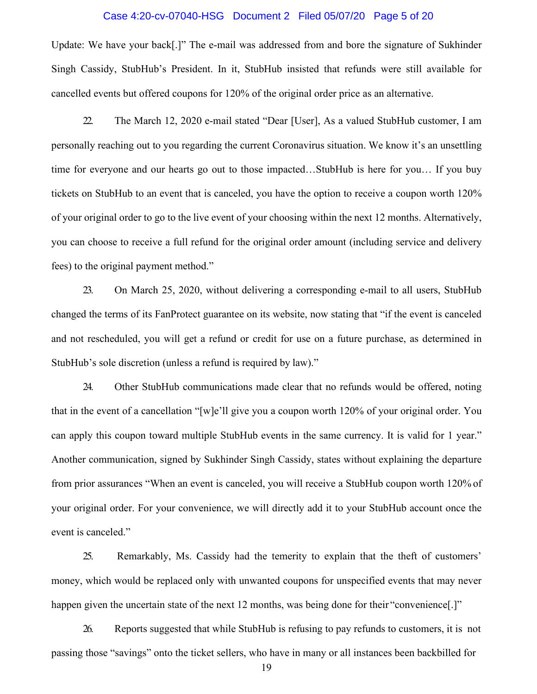#### Case 4:20-cv-07040-HSG Document 2 Filed 05/07/20 Page 5 of 20

Update: We have your back[.]" The e-mail was addressed from and bore the signature of Sukhinder Singh Cassidy, StubHub's President. In it, StubHub insisted that refunds were still available for cancelled events but offered coupons for 120% of the original order price as an alternative.

22. The March 12, 2020 e-mail stated "Dear [User], As a valued StubHub customer, I am personally reaching out to you regarding the current Coronavirus situation. We know it's an unsettling time for everyone and our hearts go out to those impacted…StubHub is here for you… If you buy tickets on StubHub to an event that is canceled, you have the option to receive a coupon worth 120% of your original order to go to the live event of your choosing within the next 12 months. Alternatively, you can choose to receive a full refund for the original order amount (including service and delivery fees) to the original payment method."

23. On March 25, 2020, without delivering a corresponding e-mail to all users, StubHub changed the terms of its FanProtect guarantee on its website, now stating that "if the event is canceled and not rescheduled, you will get a refund or credit for use on a future purchase, as determined in StubHub's sole discretion (unless a refund is required by law)."

24. Other StubHub communications made clear that no refunds would be offered, noting that in the event of a cancellation "[w]e'll give you a coupon worth 120% of your original order. You can apply this coupon toward multiple StubHub events in the same currency. It is valid for 1 year." Another communication, signed by Sukhinder Singh Cassidy, states without explaining the departure from prior assurances "When an event is canceled, you will receive a StubHub coupon worth 120% of your original order. For your convenience, we will directly add it to your StubHub account once the event is canceled."

25. Remarkably, Ms. Cassidy had the temerity to explain that the theft of customers' money, which would be replaced only with unwanted coupons for unspecified events that may never happen given the uncertain state of the next 12 months, was being done for their "convenience.]"

26. Reports suggested that while StubHub is refusing to pay refunds to customers, it is not passing those "savings" onto the ticket sellers, who have in many or all instances been backbilled for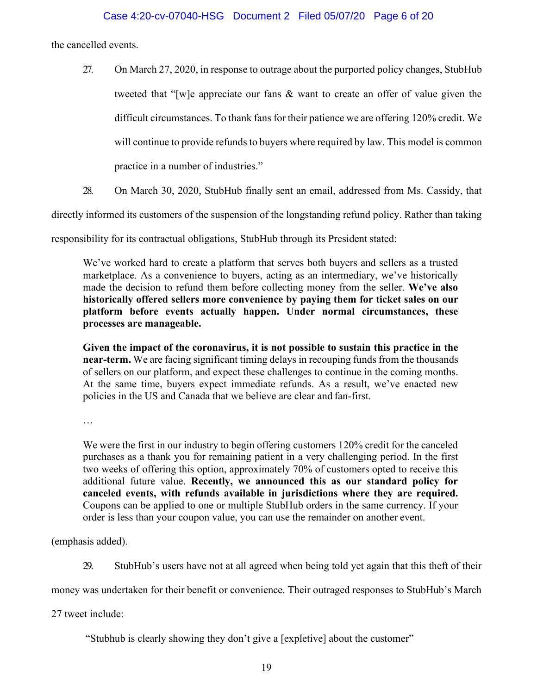the cancelled events.

- 27. On March 27, 2020, in response to outrage about the purported policy changes, StubHub tweeted that "[w]e appreciate our fans & want to create an offer of value given the difficult circumstances. To thank fans for their patience we are offering 120% credit. We will continue to provide refunds to buyers where required by law. This model is common practice in a number of industries."
- 28. On March 30, 2020, StubHub finally sent an email, addressed from Ms. Cassidy, that

directly informed its customers of the suspension of the longstanding refund policy. Rather than taking

responsibility for its contractual obligations, StubHub through its President stated:

We've worked hard to create a platform that serves both buyers and sellers as a trusted marketplace. As a convenience to buyers, acting as an intermediary, we've historically made the decision to refund them before collecting money from the seller. **We've also historically offered sellers more convenience by paying them for ticket sales on our platform before events actually happen. Under normal circumstances, these processes are manageable.**

**Given the impact of the coronavirus, it is not possible to sustain this practice in the near-term.** We are facing significant timing delays in recouping funds from the thousands of sellers on our platform, and expect these challenges to continue in the coming months. At the same time, buyers expect immediate refunds. As a result, we've enacted new policies in the US and Canada that we believe are clear and fan-first.

…

We were the first in our industry to begin offering customers 120% credit for the canceled purchases as a thank you for remaining patient in a very challenging period. In the first two weeks of offering this option, approximately 70% of customers opted to receive this additional future value. **Recently, we announced this as our standard policy for canceled events, with refunds available in jurisdictions where they are required.**  Coupons can be applied to one or multiple StubHub orders in the same currency. If your order is less than your coupon value, you can use the remainder on another event.

(emphasis added).

29. StubHub's users have not at all agreed when being told yet again that this theft of their

money was undertaken for their benefit or convenience. Their outraged responses to StubHub's March

27 tweet include:

"Stubhub is clearly showing they don't give a [expletive] about the customer"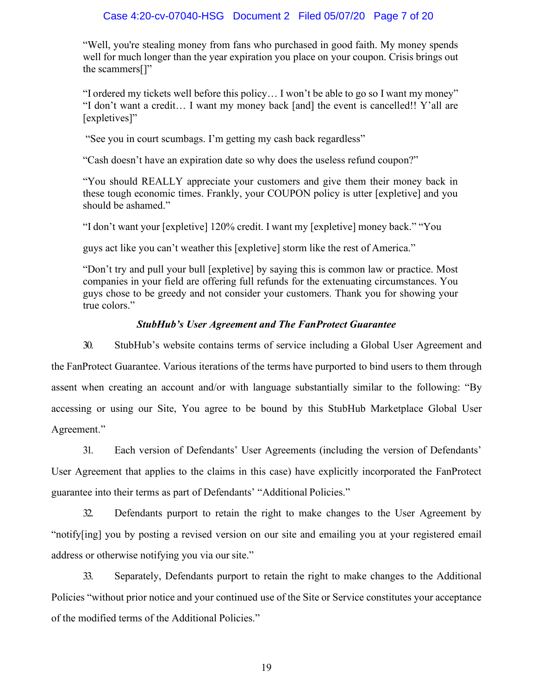## Case 4:20-cv-07040-HSG Document 2 Filed 05/07/20 Page 7 of 20

"Well, you're stealing money from fans who purchased in good faith. My money spends well for much longer than the year expiration you place on your coupon. Crisis brings out the scammers<sup>[]"</sup>

"I ordered my tickets well before this policy… I won't be able to go so I want my money" "I don't want a credit… I want my money back [and] the event is cancelled!! Y'all are [expletives]"

"See you in court scumbags. I'm getting my cash back regardless"

"Cash doesn't have an expiration date so why does the useless refund coupon?"

"You should REALLY appreciate your customers and give them their money back in these tough economic times. Frankly, your COUPON policy is utter [expletive] and you should be ashamed."

"I don't want your [expletive] 120% credit. I want my [expletive] money back." "You

guys act like you can't weather this [expletive] storm like the rest of America."

"Don't try and pull your bull [expletive] by saying this is common law or practice. Most companies in your field are offering full refunds for the extenuating circumstances. You guys chose to be greedy and not consider your customers. Thank you for showing your true colors."

#### *StubHub's User Agreement and The FanProtect Guarantee*

30. StubHub's website contains terms of service including a Global User Agreement and the FanProtect Guarantee. Various iterations of the terms have purported to bind users to them through assent when creating an account and/or with language substantially similar to the following: "By accessing or using our Site, You agree to be bound by this StubHub Marketplace Global User Agreement."

31. Each version of Defendants' User Agreements (including the version of Defendants' User Agreement that applies to the claims in this case) have explicitly incorporated the FanProtect guarantee into their terms as part of Defendants' "Additional Policies."

32. Defendants purport to retain the right to make changes to the User Agreement by "notify[ing] you by posting a revised version on our site and emailing you at your registered email address or otherwise notifying you via our site."

33. Separately, Defendants purport to retain the right to make changes to the Additional Policies "without prior notice and your continued use of the Site or Service constitutes your acceptance of the modified terms of the Additional Policies."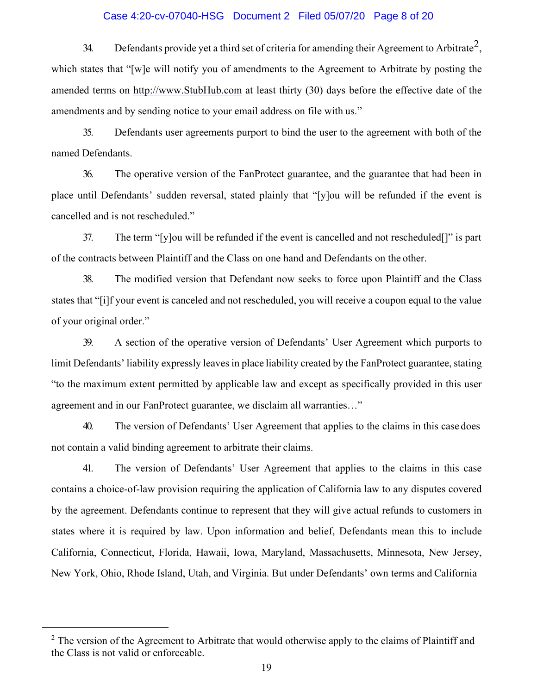#### Case 4:20-cv-07040-HSG Document 2 Filed 05/07/20 Page 8 of 20

34. Defendants provide yet a third set of criteria for amending their Agreement to Arbitrate<sup>2</sup>, which states that "[w]e will notify you of amendments to the Agreement to Arbitrate by posting the amended terms on [http://www.StubHub.com](http://www.stubhub.com/) at least thirty (30) days before the effective date of the amendments and by sending notice to your email address on file with us."

35. Defendants user agreements purport to bind the user to the agreement with both of the named Defendants.

36. The operative version of the FanProtect guarantee, and the guarantee that had been in place until Defendants' sudden reversal, stated plainly that "[y]ou will be refunded if the event is cancelled and is not rescheduled."

37. The term "[y]ou will be refunded if the event is cancelled and not rescheduled[]" is part of the contracts between Plaintiff and the Class on one hand and Defendants on the other.

38. The modified version that Defendant now seeks to force upon Plaintiff and the Class states that "[i]f your event is canceled and not rescheduled, you will receive a coupon equal to the value of your original order."

39. A section of the operative version of Defendants' User Agreement which purports to limit Defendants' liability expressly leaves in place liability created by the FanProtect guarantee, stating "to the maximum extent permitted by applicable law and except as specifically provided in this user agreement and in our FanProtect guarantee, we disclaim all warranties…"

40. The version of Defendants' User Agreement that applies to the claims in this case does not contain a valid binding agreement to arbitrate their claims.

41. The version of Defendants' User Agreement that applies to the claims in this case contains a choice-of-law provision requiring the application of California law to any disputes covered by the agreement. Defendants continue to represent that they will give actual refunds to customers in states where it is required by law. Upon information and belief, Defendants mean this to include California, Connecticut, Florida, Hawaii, Iowa, Maryland, Massachusetts, Minnesota, New Jersey, New York, Ohio, Rhode Island, Utah, and Virginia. But under Defendants' own terms and California

<span id="page-7-0"></span> $2$  The version of the Agreement to Arbitrate that would otherwise apply to the claims of Plaintiff and the Class is not valid or enforceable.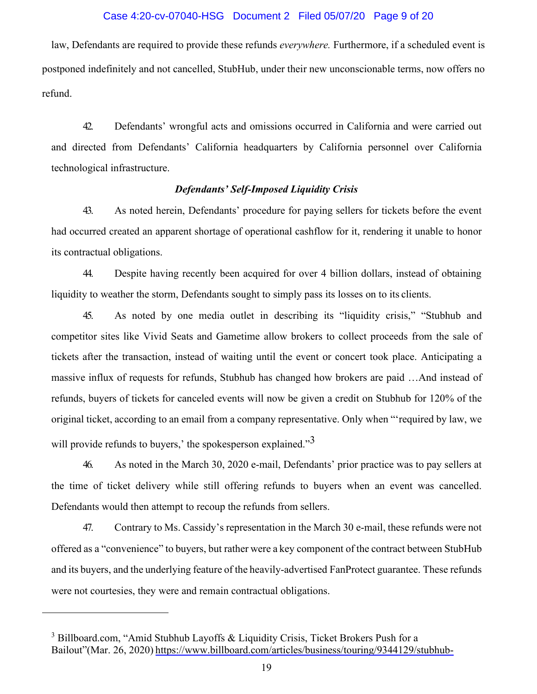#### Case 4:20-cv-07040-HSG Document 2 Filed 05/07/20 Page 9 of 20

law, Defendants are required to provide these refunds *everywhere.* Furthermore, if a scheduled event is postponed indefinitely and not cancelled, StubHub, under their new unconscionable terms, now offers no refund.

42. Defendants' wrongful acts and omissions occurred in California and were carried out and directed from Defendants' California headquarters by California personnel over California technological infrastructure.

#### *Defendants' Self-Imposed Liquidity Crisis*

43. As noted herein, Defendants' procedure for paying sellers for tickets before the event had occurred created an apparent shortage of operational cashflow for it, rendering it unable to honor its contractual obligations.

44. Despite having recently been acquired for over 4 billion dollars, instead of obtaining liquidity to weather the storm, Defendants sought to simply pass its losses on to its clients.

45. As noted by one media outlet in describing its "liquidity crisis," "Stubhub and competitor sites like Vivid Seats and Gametime allow brokers to collect proceeds from the sale of tickets after the transaction, instead of waiting until the event or concert took place. Anticipating a massive influx of requests for refunds, Stubhub has changed how brokers are paid …And instead of refunds, buyers of tickets for canceled events will now be given a credit on Stubhub for 120% of the original ticket, according to an email from a company representative. Only when "'required by law, we will provide refunds to buyers,' the spokesperson explained." $3$ 

46. As noted in the March 30, 2020 e-mail, Defendants' prior practice was to pay sellers at the time of ticket delivery while still offering refunds to buyers when an event was cancelled. Defendants would then attempt to recoup the refunds from sellers.

47. Contrary to Ms. Cassidy's representation in the March 30 e-mail, these refunds were not offered as a "convenience" to buyers, but rather were a key component of the contract between StubHub and its buyers, and the underlying feature of the heavily-advertised FanProtect guarantee. These refunds were not courtesies, they were and remain contractual obligations.

<span id="page-8-0"></span><sup>&</sup>lt;sup>3</sup> Billboard.com, "Amid Stubhub Layoffs & Liquidity Crisis, Ticket Brokers Push for a Bailout"(Mar. 26, 2020) [https://www.billboard.com/articles/business/touring/9344129/stubhub-](https://www.billboard.com/articles/business/touring/9344129/stubhub-layoffs-liquidity-ticket-brokers-bailout)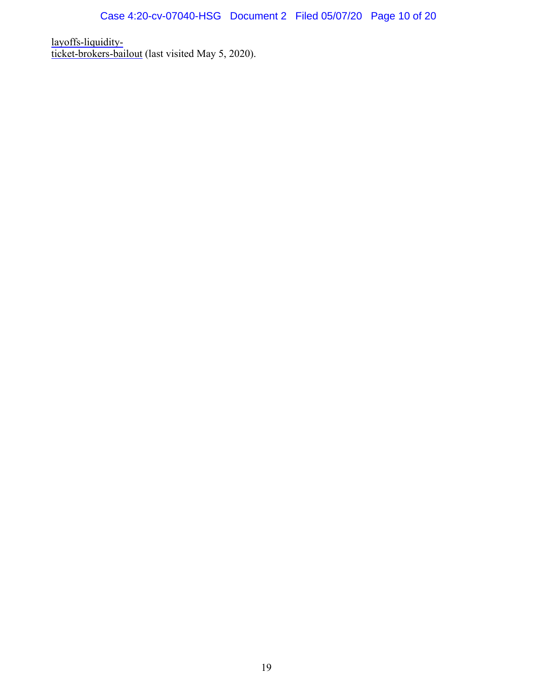[layoffs-liquidity](https://www.billboard.com/articles/business/touring/9344129/stubhub-layoffs-liquidity-ticket-brokers-bailout)[ticket-brokers-bailout](https://www.billboard.com/articles/business/touring/9344129/stubhub-layoffs-liquidity-ticket-brokers-bailout) (last visited May 5, 2020).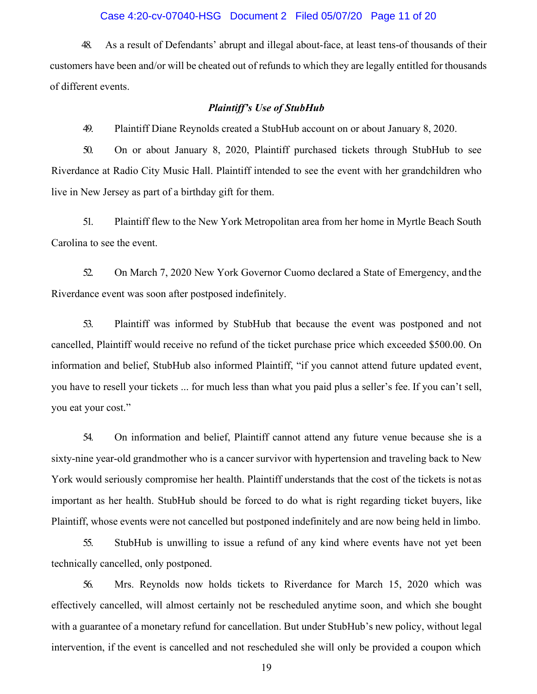#### Case 4:20-cv-07040-HSG Document 2 Filed 05/07/20 Page 11 of 20

48. As a result of Defendants' abrupt and illegal about-face, at least tens-of thousands of their customers have been and/or will be cheated out of refunds to which they are legally entitled for thousands of different events.

#### *Plaintiff's Use of StubHub*

49. Plaintiff Diane Reynolds created a StubHub account on or about January 8, 2020.

50. On or about January 8, 2020, Plaintiff purchased tickets through StubHub to see Riverdance at Radio City Music Hall. Plaintiff intended to see the event with her grandchildren who live in New Jersey as part of a birthday gift for them.

51. Plaintiff flew to the New York Metropolitan area from her home in Myrtle Beach South Carolina to see the event.

52. On March 7, 2020 New York Governor Cuomo declared a State of Emergency, and the Riverdance event was soon after postposed indefinitely.

53. Plaintiff was informed by StubHub that because the event was postponed and not cancelled, Plaintiff would receive no refund of the ticket purchase price which exceeded \$500.00. On information and belief, StubHub also informed Plaintiff, "if you cannot attend future updated event, you have to resell your tickets ... for much less than what you paid plus a seller's fee. If you can't sell, you eat your cost."

54. On information and belief, Plaintiff cannot attend any future venue because she is a sixty-nine year-old grandmother who is a cancer survivor with hypertension and traveling back to New York would seriously compromise her health. Plaintiff understands that the cost of the tickets is not as important as her health. StubHub should be forced to do what is right regarding ticket buyers, like Plaintiff, whose events were not cancelled but postponed indefinitely and are now being held in limbo.

55. StubHub is unwilling to issue a refund of any kind where events have not yet been technically cancelled, only postponed.

56. Mrs. Reynolds now holds tickets to Riverdance for March 15, 2020 which was effectively cancelled, will almost certainly not be rescheduled anytime soon, and which she bought with a guarantee of a monetary refund for cancellation. But under StubHub's new policy, without legal intervention, if the event is cancelled and not rescheduled she will only be provided a coupon which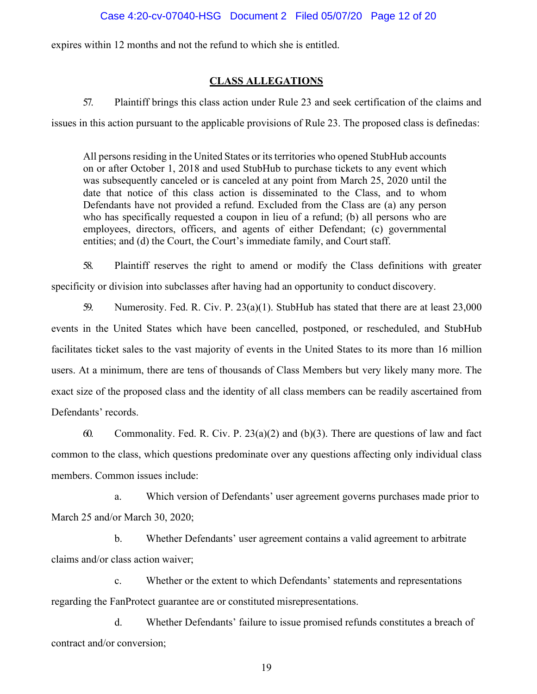expires within 12 months and not the refund to which she is entitled.

#### **CLASS ALLEGATIONS**

57. Plaintiff brings this class action under Rule 23 and seek certification of the claims and issues in this action pursuant to the applicable provisions of Rule 23. The proposed class is definedas:

All persons residing in the United States or its territories who opened StubHub accounts on or after October 1, 2018 and used StubHub to purchase tickets to any event which was subsequently canceled or is canceled at any point from March 25, 2020 until the date that notice of this class action is disseminated to the Class, and to whom Defendants have not provided a refund. Excluded from the Class are (a) any person who has specifically requested a coupon in lieu of a refund; (b) all persons who are employees, directors, officers, and agents of either Defendant; (c) governmental entities; and (d) the Court, the Court's immediate family, and Court staff.

58. Plaintiff reserves the right to amend or modify the Class definitions with greater specificity or division into subclasses after having had an opportunity to conduct discovery.

59. Numerosity. Fed. R. Civ. P. 23(a)(1). StubHub has stated that there are at least 23,000 events in the United States which have been cancelled, postponed, or rescheduled, and StubHub facilitates ticket sales to the vast majority of events in the United States to its more than 16 million users. At a minimum, there are tens of thousands of Class Members but very likely many more. The exact size of the proposed class and the identity of all class members can be readily ascertained from Defendants' records.

60. Commonality. Fed. R. Civ. P.  $23(a)(2)$  and  $(b)(3)$ . There are questions of law and fact common to the class, which questions predominate over any questions affecting only individual class members. Common issues include:

a. Which version of Defendants' user agreement governs purchases made prior to March 25 and/or March 30, 2020;

b. Whether Defendants' user agreement contains a valid agreement to arbitrate claims and/or class action waiver;

c. Whether or the extent to which Defendants' statements and representations regarding the FanProtect guarantee are or constituted misrepresentations.

d. Whether Defendants' failure to issue promised refunds constitutes a breach of contract and/or conversion;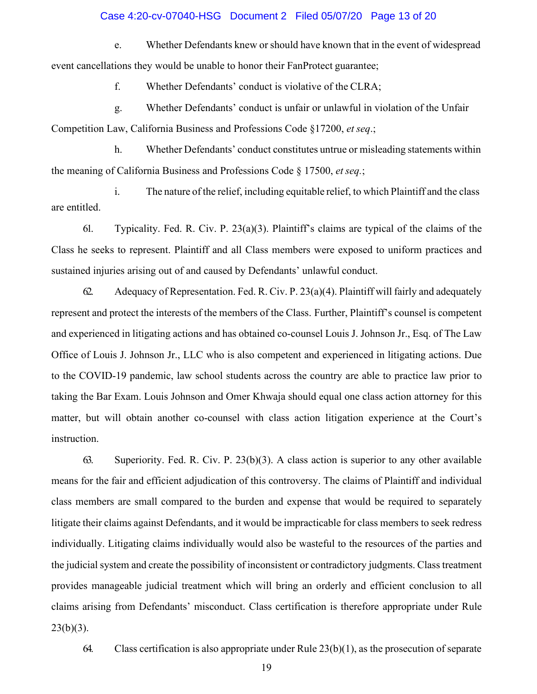#### Case 4:20-cv-07040-HSG Document 2 Filed 05/07/20 Page 13 of 20

e. Whether Defendants knew or should have known that in the event of widespread event cancellations they would be unable to honor their FanProtect guarantee;

f. Whether Defendants' conduct is violative of the CLRA;

g. Whether Defendants' conduct is unfair or unlawful in violation of the Unfair Competition Law, California Business and Professions Code §17200, *et seq*.;

h. Whether Defendants' conduct constitutes untrue or misleading statements within the meaning of California Business and Professions Code § 17500, *et seq.*;

i. The nature of the relief, including equitable relief, to which Plaintiff and the class are entitled.

61. Typicality. Fed. R. Civ. P. 23(a)(3). Plaintiff's claims are typical of the claims of the Class he seeks to represent. Plaintiff and all Class members were exposed to uniform practices and sustained injuries arising out of and caused by Defendants' unlawful conduct.

62. Adequacy of Representation. Fed. R. Civ. P.  $23(a)(4)$ . Plaintiff will fairly and adequately represent and protect the interests of the members of the Class. Further, Plaintiff's counsel is competent and experienced in litigating actions and has obtained co-counsel Louis J. Johnson Jr., Esq. of The Law Office of Louis J. Johnson Jr., LLC who is also competent and experienced in litigating actions. Due to the COVID-19 pandemic, law school students across the country are able to practice law prior to taking the Bar Exam. Louis Johnson and Omer Khwaja should equal one class action attorney for this matter, but will obtain another co-counsel with class action litigation experience at the Court's instruction.

63. Superiority. Fed. R. Civ. P. 23(b)(3). A class action is superior to any other available means for the fair and efficient adjudication of this controversy. The claims of Plaintiff and individual class members are small compared to the burden and expense that would be required to separately litigate their claims against Defendants, and it would be impracticable for class members to seek redress individually. Litigating claims individually would also be wasteful to the resources of the parties and the judicial system and create the possibility of inconsistent or contradictory judgments. Class treatment provides manageable judicial treatment which will bring an orderly and efficient conclusion to all claims arising from Defendants' misconduct. Class certification is therefore appropriate under Rule  $23(b)(3)$ .

64. Class certification is also appropriate under Rule 23(b)(1), as the prosecution of separate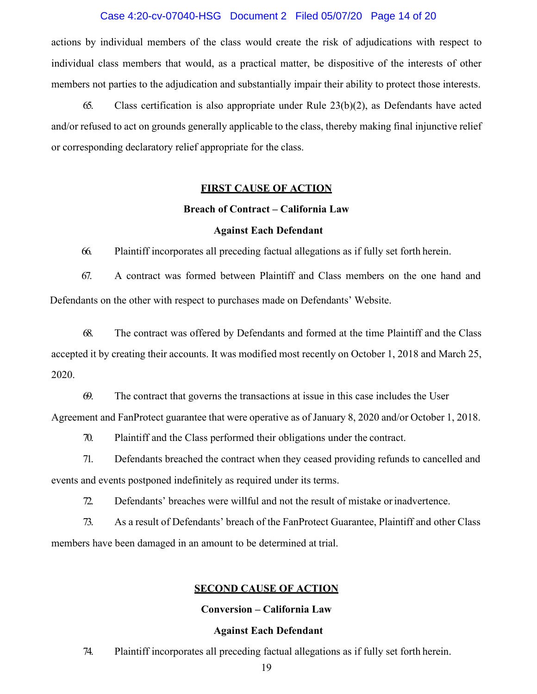#### Case 4:20-cv-07040-HSG Document 2 Filed 05/07/20 Page 14 of 20

actions by individual members of the class would create the risk of adjudications with respect to individual class members that would, as a practical matter, be dispositive of the interests of other members not parties to the adjudication and substantially impair their ability to protect those interests.

65. Class certification is also appropriate under Rule 23(b)(2), as Defendants have acted and/or refused to act on grounds generally applicable to the class, thereby making final injunctive relief or corresponding declaratory relief appropriate for the class.

#### **FIRST CAUSE OF ACTION**

#### **Breach of Contract – California Law**

#### **Against Each Defendant**

66. Plaintiff incorporates all preceding factual allegations as if fully set forth herein.

67. A contract was formed between Plaintiff and Class members on the one hand and Defendants on the other with respect to purchases made on Defendants' Website.

68. The contract was offered by Defendants and formed at the time Plaintiff and the Class accepted it by creating their accounts. It was modified most recently on October 1, 2018 and March 25, 2020.

69. The contract that governs the transactions at issue in this case includes the User Agreement and FanProtect guarantee that were operative as of January 8, 2020 and/or October 1, 2018.

70. Plaintiff and the Class performed their obligations under the contract.

71. Defendants breached the contract when they ceased providing refunds to cancelled and events and events postponed indefinitely as required under its terms.

72. Defendants' breaches were willful and not the result of mistake orinadvertence.

73. As a result of Defendants' breach of the FanProtect Guarantee, Plaintiff and other Class members have been damaged in an amount to be determined at trial.

#### **SECOND CAUSE OF ACTION**

#### **Conversion – California Law**

#### **Against Each Defendant**

74. Plaintiff incorporates all preceding factual allegations as if fully set forth herein.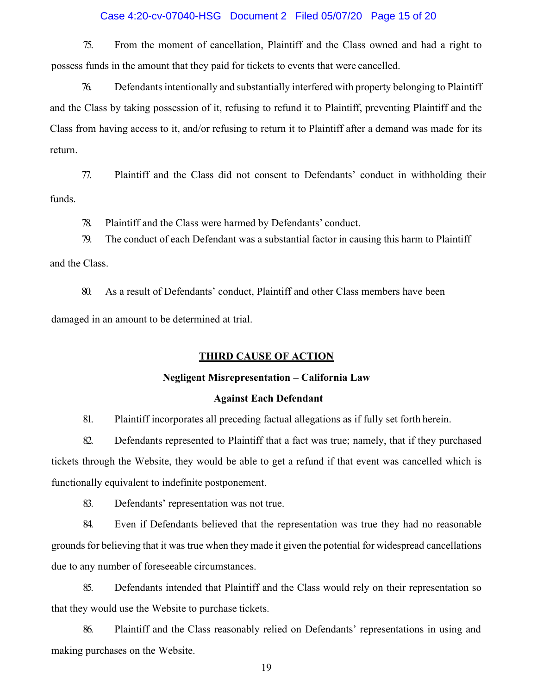#### Case 4:20-cv-07040-HSG Document 2 Filed 05/07/20 Page 15 of 20

75. From the moment of cancellation, Plaintiff and the Class owned and had a right to possess funds in the amount that they paid for tickets to events that were cancelled.

76. Defendants intentionally and substantially interfered with property belonging to Plaintiff and the Class by taking possession of it, refusing to refund it to Plaintiff, preventing Plaintiff and the Class from having access to it, and/or refusing to return it to Plaintiff after a demand was made for its return.

77. Plaintiff and the Class did not consent to Defendants' conduct in withholding their funds.

78. Plaintiff and the Class were harmed by Defendants' conduct.

79. The conduct of each Defendant was a substantial factor in causing this harm to Plaintiff and the Class.

80. As a result of Defendants' conduct, Plaintiff and other Class members have been damaged in an amount to be determined at trial.

#### **THIRD CAUSE OF ACTION**

#### **Negligent Misrepresentation – California Law**

#### **Against Each Defendant**

81. Plaintiff incorporates all preceding factual allegations as if fully set forth herein.

82. Defendants represented to Plaintiff that a fact was true; namely, that if they purchased tickets through the Website, they would be able to get a refund if that event was cancelled which is functionally equivalent to indefinite postponement.

83. Defendants' representation was not true.

84. Even if Defendants believed that the representation was true they had no reasonable grounds for believing that it was true when they made it given the potential for widespread cancellations due to any number of foreseeable circumstances.

85. Defendants intended that Plaintiff and the Class would rely on their representation so that they would use the Website to purchase tickets.

86. Plaintiff and the Class reasonably relied on Defendants' representations in using and making purchases on the Website.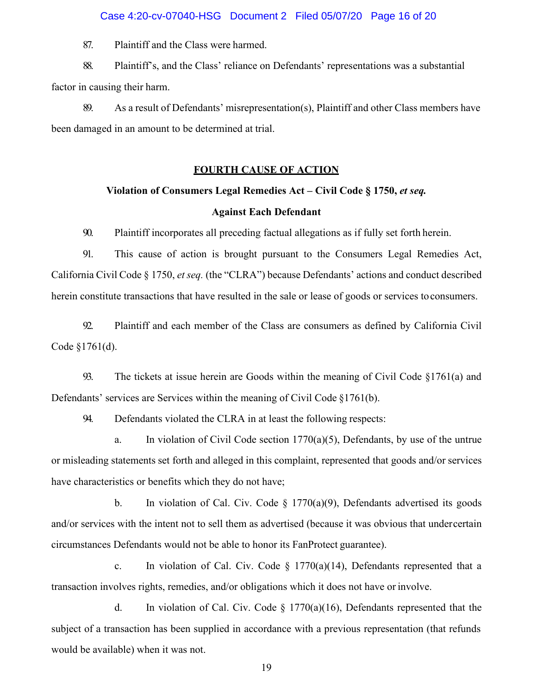#### Case 4:20-cv-07040-HSG Document 2 Filed 05/07/20 Page 16 of 20

87. Plaintiff and the Class were harmed.

88. Plaintiff's, and the Class' reliance on Defendants' representations was a substantial factor in causing their harm.

89. As a result of Defendants' misrepresentation(s), Plaintiff and other Class members have been damaged in an amount to be determined at trial.

#### **FOURTH CAUSE OF ACTION**

#### **Violation of Consumers Legal Remedies Act – Civil Code § 1750,** *et seq.*

#### **Against Each Defendant**

90. Plaintiff incorporates all preceding factual allegations as if fully set forth herein.

91. This cause of action is brought pursuant to the Consumers Legal Remedies Act, California Civil Code § 1750, *et seq.* (the "CLRA") because Defendants' actions and conduct described herein constitute transactions that have resulted in the sale or lease of goods or services toconsumers.

92. Plaintiff and each member of the Class are consumers as defined by California Civil Code §1761(d).

93. The tickets at issue herein are Goods within the meaning of Civil Code §1761(a) and Defendants' services are Services within the meaning of Civil Code §1761(b).

94. Defendants violated the CLRA in at least the following respects:

a. In violation of Civil Code section  $1770(a)(5)$ , Defendants, by use of the untrue or misleading statements set forth and alleged in this complaint, represented that goods and/or services have characteristics or benefits which they do not have;

b. In violation of Cal. Civ. Code  $\S$  1770(a)(9), Defendants advertised its goods and/or services with the intent not to sell them as advertised (because it was obvious that undercertain circumstances Defendants would not be able to honor its FanProtect guarantee).

c. In violation of Cal. Civ. Code  $\S$  1770(a)(14), Defendants represented that a transaction involves rights, remedies, and/or obligations which it does not have or involve.

d. In violation of Cal. Civ. Code  $\S$  1770(a)(16), Defendants represented that the subject of a transaction has been supplied in accordance with a previous representation (that refunds would be available) when it was not.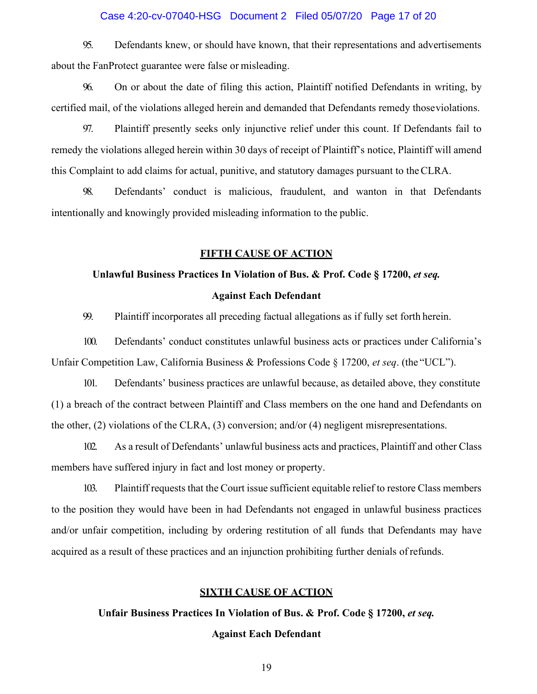#### Case 4:20-cv-07040-HSG Document 2 Filed 05/07/20 Page 17 of 20

95. Defendants knew, or should have known, that their representations and advertisements about the FanProtect guarantee were false or misleading.

96. On or about the date of filing this action, Plaintiff notified Defendants in writing, by certified mail, of the violations alleged herein and demanded that Defendants remedy thoseviolations.

97. Plaintiff presently seeks only injunctive relief under this count. If Defendants fail to remedy the violations alleged herein within 30 days of receipt of Plaintiff's notice, Plaintiff will amend this Complaint to add claims for actual, punitive, and statutory damages pursuant to theCLRA.

98. Defendants' conduct is malicious, fraudulent, and wanton in that Defendants intentionally and knowingly provided misleading information to the public.

#### **FIFTH CAUSE OF ACTION**

# **Unlawful Business Practices In Violation of Bus. & Prof. Code § 17200,** *et seq.* **Against Each Defendant**

99. Plaintiff incorporates all preceding factual allegations as if fully set forth herein.

100. Defendants' conduct constitutes unlawful business acts or practices under California's Unfair Competition Law, California Business & Professions Code § 17200, *et seq*. (the "UCL").

101. Defendants' business practices are unlawful because, as detailed above, they constitute (1) a breach of the contract between Plaintiff and Class members on the one hand and Defendants on the other, (2) violations of the CLRA, (3) conversion; and/or (4) negligent misrepresentations.

102. As a result of Defendants' unlawful business acts and practices, Plaintiff and other Class members have suffered injury in fact and lost money or property.

103. Plaintiff requests that the Court issue sufficient equitable relief to restore Class members to the position they would have been in had Defendants not engaged in unlawful business practices and/or unfair competition, including by ordering restitution of all funds that Defendants may have acquired as a result of these practices and an injunction prohibiting further denials of refunds.

#### **SIXTH CAUSE OF ACTION**

**Unfair Business Practices In Violation of Bus. & Prof. Code § 17200,** *et seq.*

#### **Against Each Defendant**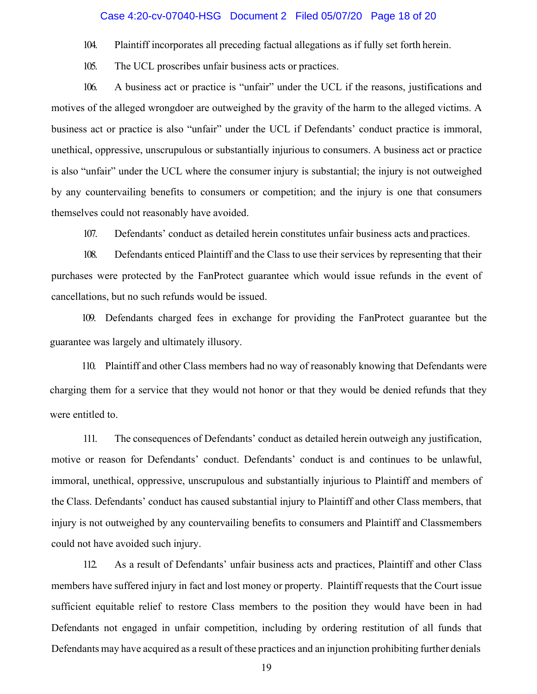#### Case 4:20-cv-07040-HSG Document 2 Filed 05/07/20 Page 18 of 20

104. Plaintiff incorporates all preceding factual allegations as if fully set forth herein.

105. The UCL proscribes unfair business acts or practices.

106. A business act or practice is "unfair" under the UCL if the reasons, justifications and motives of the alleged wrongdoer are outweighed by the gravity of the harm to the alleged victims. A business act or practice is also "unfair" under the UCL if Defendants' conduct practice is immoral, unethical, oppressive, unscrupulous or substantially injurious to consumers. A business act or practice is also "unfair" under the UCL where the consumer injury is substantial; the injury is not outweighed by any countervailing benefits to consumers or competition; and the injury is one that consumers themselves could not reasonably have avoided.

107. Defendants' conduct as detailed herein constitutes unfair business acts and practices.

108. Defendants enticed Plaintiff and the Class to use their services by representing that their purchases were protected by the FanProtect guarantee which would issue refunds in the event of cancellations, but no such refunds would be issued.

109. Defendants charged fees in exchange for providing the FanProtect guarantee but the guarantee was largely and ultimately illusory.

110. Plaintiff and other Class members had no way of reasonably knowing that Defendants were charging them for a service that they would not honor or that they would be denied refunds that they were entitled to.

111. The consequences of Defendants' conduct as detailed herein outweigh any justification, motive or reason for Defendants' conduct. Defendants' conduct is and continues to be unlawful, immoral, unethical, oppressive, unscrupulous and substantially injurious to Plaintiff and members of the Class. Defendants' conduct has caused substantial injury to Plaintiff and other Class members, that injury is not outweighed by any countervailing benefits to consumers and Plaintiff and Classmembers could not have avoided such injury.

112. As a result of Defendants' unfair business acts and practices, Plaintiff and other Class members have suffered injury in fact and lost money or property. Plaintiff requests that the Court issue sufficient equitable relief to restore Class members to the position they would have been in had Defendants not engaged in unfair competition, including by ordering restitution of all funds that Defendants may have acquired as a result of these practices and an injunction prohibiting further denials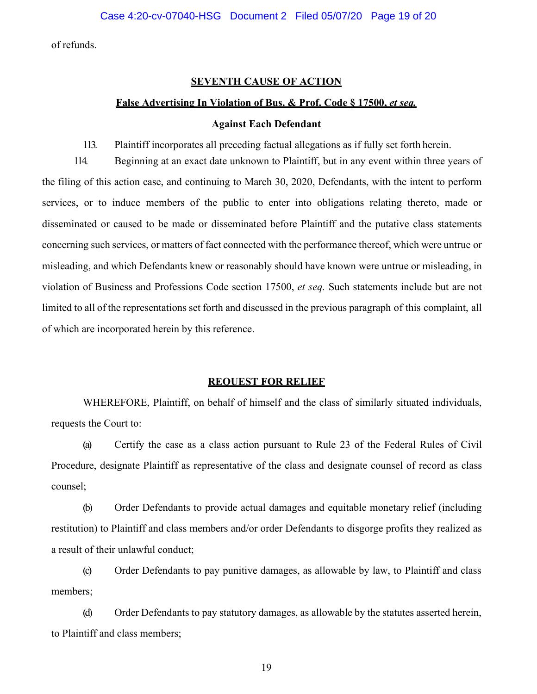of refunds.

#### **SEVENTH CAUSE OF ACTION**

#### **False Advertising In Violation of Bus. & Prof. Code § 17500,** *et seq.*

#### **Against Each Defendant**

113. Plaintiff incorporates all preceding factual allegations as if fully set forth herein.

114. Beginning at an exact date unknown to Plaintiff, but in any event within three years of the filing of this action case, and continuing to March 30, 2020, Defendants, with the intent to perform services, or to induce members of the public to enter into obligations relating thereto, made or disseminated or caused to be made or disseminated before Plaintiff and the putative class statements concerning such services, or matters of fact connected with the performance thereof, which were untrue or misleading, and which Defendants knew or reasonably should have known were untrue or misleading, in violation of Business and Professions Code section 17500, *et seq.* Such statements include but are not limited to all of the representations set forth and discussed in the previous paragraph of this complaint, all of which are incorporated herein by this reference.

#### **REQUEST FOR RELIEF**

WHEREFORE, Plaintiff, on behalf of himself and the class of similarly situated individuals, requests the Court to:

(a) Certify the case as a class action pursuant to Rule 23 of the Federal Rules of Civil Procedure, designate Plaintiff as representative of the class and designate counsel of record as class counsel;

(b) Order Defendants to provide actual damages and equitable monetary relief (including restitution) to Plaintiff and class members and/or order Defendants to disgorge profits they realized as a result of their unlawful conduct;

(c) Order Defendants to pay punitive damages, as allowable by law, to Plaintiff and class members;

(d) Order Defendants to pay statutory damages, as allowable by the statutes asserted herein, to Plaintiff and class members;